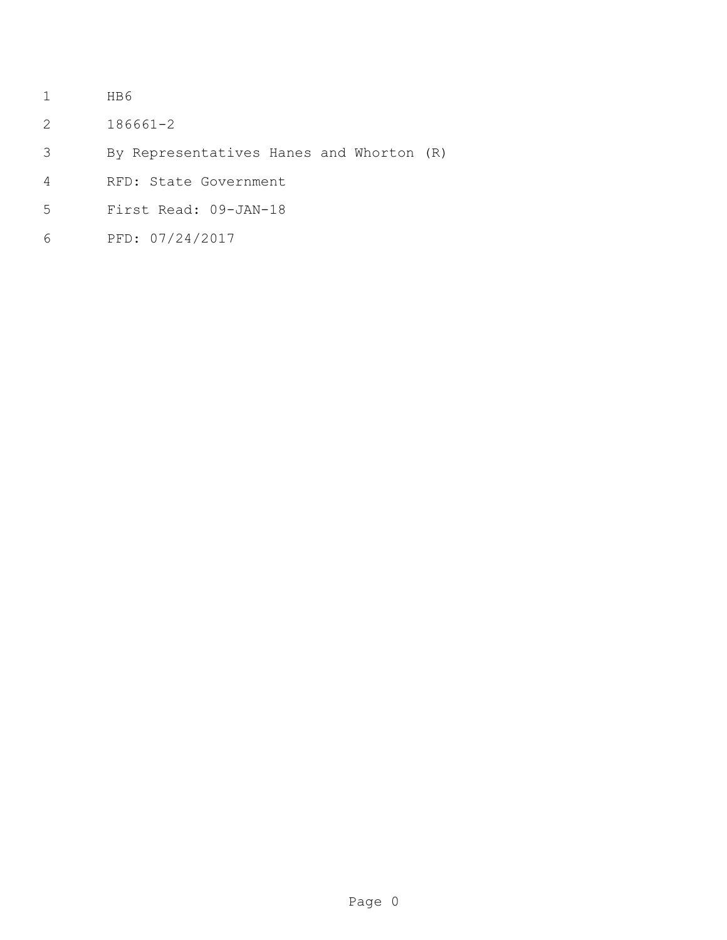- HB6
- 186661-2
- By Representatives Hanes and Whorton (R)
- RFD: State Government
- First Read: 09-JAN-18
- PFD: 07/24/2017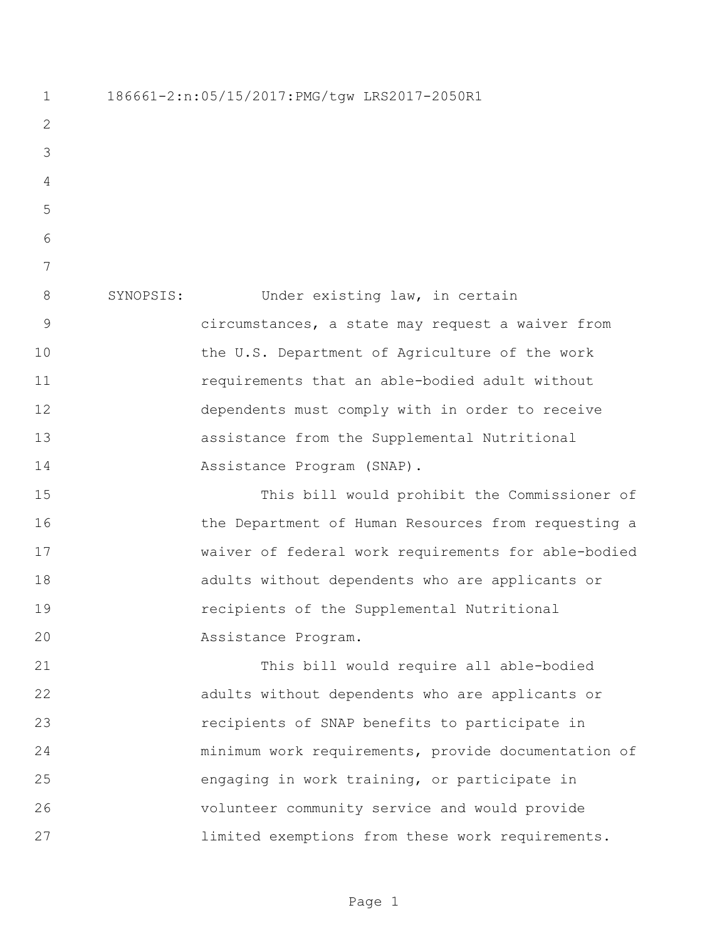186661-2:n:05/15/2017:PMG/tgw LRS2017-2050R1 SYNOPSIS: Under existing law, in certain circumstances, a state may request a waiver from 10 the U.S. Department of Agriculture of the work requirements that an able-bodied adult without dependents must comply with in order to receive assistance from the Supplemental Nutritional 14 Assistance Program (SNAP). This bill would prohibit the Commissioner of 16 the Department of Human Resources from requesting a waiver of federal work requirements for able-bodied adults without dependents who are applicants or recipients of the Supplemental Nutritional Assistance Program. This bill would require all able-bodied adults without dependents who are applicants or recipients of SNAP benefits to participate in minimum work requirements, provide documentation of engaging in work training, or participate in volunteer community service and would provide limited exemptions from these work requirements.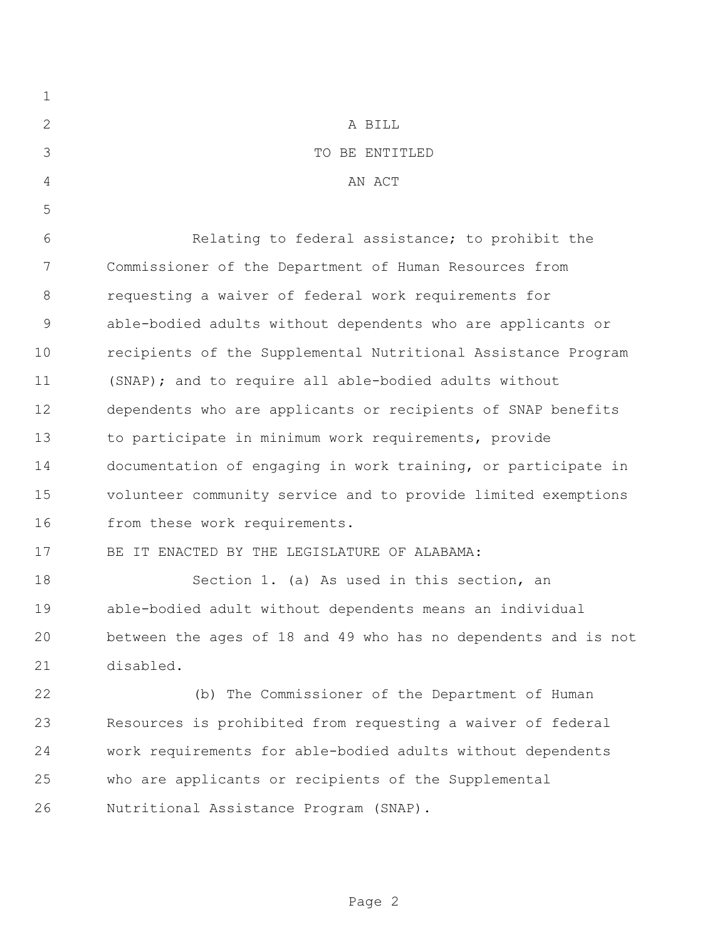| $\mathbf 1$    |                                                                |
|----------------|----------------------------------------------------------------|
| $\mathbf{2}$   | A BILL                                                         |
| 3              | TO BE ENTITLED                                                 |
| $\overline{4}$ | AN ACT                                                         |
| 5              |                                                                |
| 6              | Relating to federal assistance; to prohibit the                |
| 7              | Commissioner of the Department of Human Resources from         |
| $\,8\,$        | requesting a waiver of federal work requirements for           |
| $\mathsf 9$    | able-bodied adults without dependents who are applicants or    |
| 10             | recipients of the Supplemental Nutritional Assistance Program  |
| 11             | (SNAP); and to require all able-bodied adults without          |
| 12             | dependents who are applicants or recipients of SNAP benefits   |
| 13             | to participate in minimum work requirements, provide           |
| 14             | documentation of engaging in work training, or participate in  |
| 15             | volunteer community service and to provide limited exemptions  |
| 16             | from these work requirements.                                  |
| 17             | BE IT ENACTED BY THE LEGISLATURE OF ALABAMA:                   |
| 18             | Section 1. (a) As used in this section, an                     |
| 19             | able-bodied adult without dependents means an individual       |
| 20             | between the ages of 18 and 49 who has no dependents and is not |
| 21             | disabled.                                                      |
| 22             | (b) The Commissioner of the Department of Human                |
| 23             | Resources is prohibited from requesting a waiver of federal    |
| 24             | work requirements for able-bodied adults without dependents    |
| 25             | who are applicants or recipients of the Supplemental           |
| 26             | Nutritional Assistance Program (SNAP).                         |
|                |                                                                |

Page 2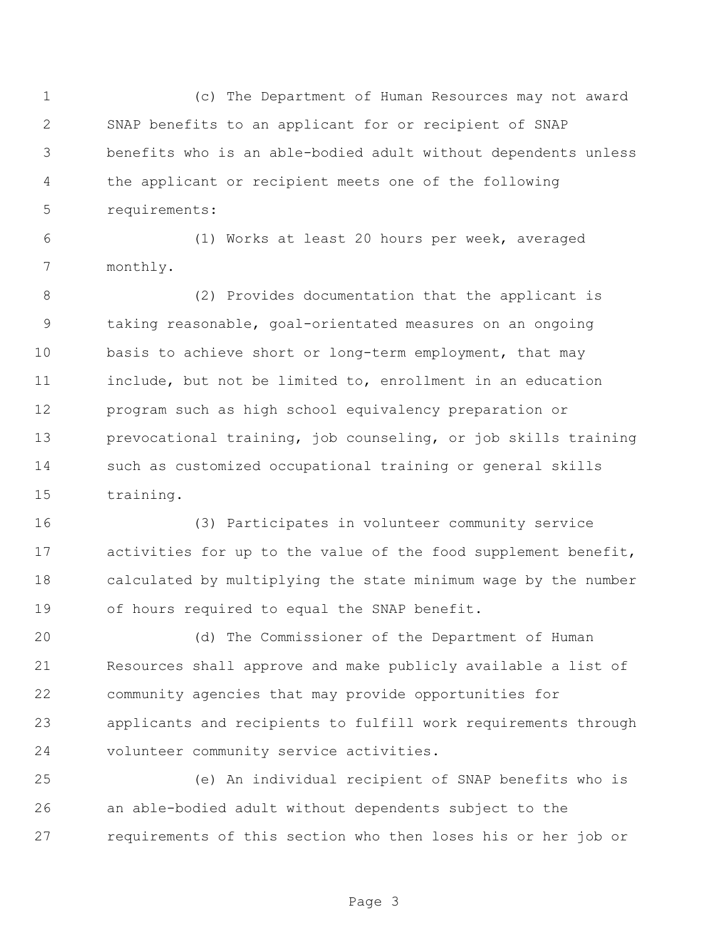(c) The Department of Human Resources may not award SNAP benefits to an applicant for or recipient of SNAP benefits who is an able-bodied adult without dependents unless the applicant or recipient meets one of the following requirements:

 (1) Works at least 20 hours per week, averaged monthly.

 (2) Provides documentation that the applicant is taking reasonable, goal-orientated measures on an ongoing basis to achieve short or long-term employment, that may include, but not be limited to, enrollment in an education program such as high school equivalency preparation or prevocational training, job counseling, or job skills training such as customized occupational training or general skills training.

 (3) Participates in volunteer community service activities for up to the value of the food supplement benefit, calculated by multiplying the state minimum wage by the number of hours required to equal the SNAP benefit.

 (d) The Commissioner of the Department of Human Resources shall approve and make publicly available a list of community agencies that may provide opportunities for applicants and recipients to fulfill work requirements through volunteer community service activities.

 (e) An individual recipient of SNAP benefits who is an able-bodied adult without dependents subject to the requirements of this section who then loses his or her job or